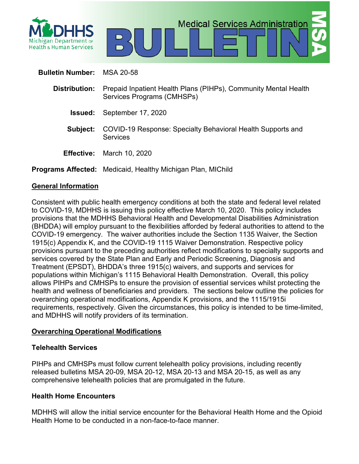



#### **Bulletin Number:** MSA 20-58

| <b>Distribution:</b> Prepaid Inpatient Health Plans (PIHPs), Community Mental Health |
|--------------------------------------------------------------------------------------|
| Services Programs (CMHSPs)                                                           |

- **Issued:** September 17, 2020
- **Subject:** COVID-19 Response: Specialty Behavioral Health Supports and **Services**
- **Effective:** March 10, 2020

## **Programs Affected:** Medicaid, Healthy Michigan Plan, MIChild

## **General Information**

Consistent with public health emergency conditions at both the state and federal level related to COVID-19, MDHHS is issuing this policy effective March 10, 2020. This policy includes provisions that the MDHHS Behavioral Health and Developmental Disabilities Administration (BHDDA) will employ pursuant to the flexibilities afforded by federal authorities to attend to the COVID-19 emergency. The waiver authorities include the Section 1135 Waiver, the Section 1915(c) Appendix K, and the COVID-19 1115 Waiver Demonstration. Respective policy provisions pursuant to the preceding authorities reflect modifications to specialty supports and services covered by the State Plan and Early and Periodic Screening, Diagnosis and Treatment (EPSDT), BHDDA's three 1915(c) waivers, and supports and services for populations within Michigan's 1115 Behavioral Health Demonstration. Overall, this policy allows PIHPs and CMHSPs to ensure the provision of essential services whilst protecting the health and wellness of beneficiaries and providers. The sections below outline the policies for overarching operational modifications, Appendix K provisions, and the 1115/1915i requirements, respectively. Given the circumstances, this policy is intended to be time-limited, and MDHHS will notify providers of its termination.

### **Overarching Operational Modifications**

### **Telehealth Services**

PIHPs and CMHSPs must follow current telehealth policy provisions, including recently released bulletins MSA 20-09, MSA 20-12, MSA 20-13 and MSA 20-15, as well as any comprehensive telehealth policies that are promulgated in the future.

### **Health Home Encounters**

MDHHS will allow the initial service encounter for the Behavioral Health Home and the Opioid Health Home to be conducted in a non-face-to-face manner.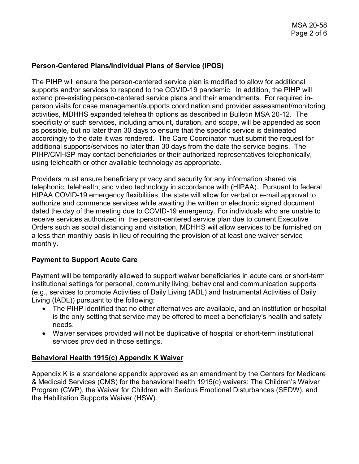## **Person-Centered Plans/Individual Plans of Service (IPOS)**

The PIHP will ensure the person-centered service plan is modified to allow for additional supports and/or services to respond to the COVID-19 pandemic. In addition, the PIHP will extend pre-existing person-centered service plans and their amendments.  For required inperson visits for case management/supports coordination and provider assessment/monitoring activities, MDHHS expanded telehealth options as described in Bulletin MSA 20-12. The specificity of such services, including amount, duration, and scope, will be appended as soon as possible, but no later than 30 days to ensure that the specific service is delineated accordingly to the date it was rendered. The Care Coordinator must submit the request for additional supports/services no later than 30 days from the date the service begins. The PIHP/CMHSP may contact beneficiaries or their authorized representatives telephonically, using telehealth or other available technology as appropriate.

Providers must ensure beneficiary privacy and security for any information shared via telephonic, telehealth, and video technology in accordance with (HIPAA). Pursuant to federal HIPAA COVID-19 emergency flexibilities, the state will allow for verbal or e-mail approval to authorize and commence services while awaiting the written or electronic signed document dated the day of the meeting due to COVID-19 emergency. For individuals who are unable to receive services authorized in the person-centered service plan due to current Executive Orders such as social distancing and visitation, MDHHS will allow services to be furnished on a less than monthly basis in lieu of requiring the provision of at least one waiver service monthly.

### **Payment to Support Acute Care**

Payment will be temporarily allowed to support waiver beneficiaries in acute care or short-term institutional settings for personal, community living, behavioral and communication supports (e.g., services to promote Activities of Daily Living (ADL) and Instrumental Activities of Daily Living (IADL)) pursuant to the following:

- The PIHP identified that no other alternatives are available, and an institution or hospital is the only setting that service may be offered to meet a beneficiary's health and safety needs.
- Waiver services provided will not be duplicative of hospital or short-term institutional services provided in those settings.

### **Behavioral Health 1915(c) Appendix K Waiver**

Appendix K is a standalone appendix approved as an amendment by the Centers for Medicare & Medicaid Services (CMS) for the behavioral health 1915(c) waivers: The Children's Waiver Program (CWP), the Waiver for Children with Serious Emotional Disturbances (SEDW), and the Habilitation Supports Waiver (HSW).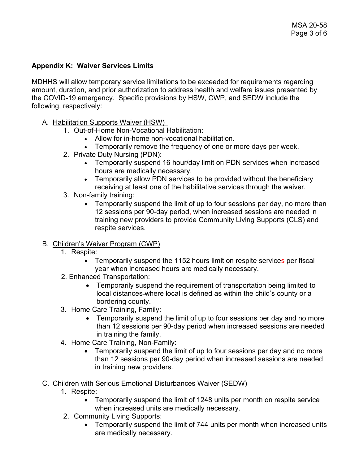## **Appendix K: Waiver Services Limits**

MDHHS will allow temporary service limitations to be exceeded for requirements regarding amount, duration, and prior authorization to address health and welfare issues presented by the COVID-19 emergency. Specific provisions by HSW, CWP, and SEDW include the following, respectively:

### A. Habilitation Supports Waiver (HSW)

- 1. Out-of-Home Non-Vocational Habilitation:
	- Allow for in-home non-vocational habilitation.
	- Temporarily remove the frequency of one or more days per week.
- 2. Private Duty Nursing (PDN):
	- Temporarily suspend 16 hour/day limit on PDN services when increased hours are medically necessary.
	- Temporarily allow PDN services to be provided without the beneficiary receiving at least one of the habilitative services through the waiver.
- 3. Non-family training:
	- Temporarily suspend the limit of up to four sessions per day, no more than 12 sessions per 90-day period, when increased sessions are needed in training new providers to provide Community Living Supports (CLS) and respite services.

### B. Children's Waiver Program (CWP)

- 1. Respite:
	- Temporarily suspend the 1152 hours limit on respite services per fiscal year when increased hours are medically necessary.
- 2. Enhanced Transportation:
	- Temporarily suspend the requirement of transportation being limited to local distances where local is defined as within the child's county or a bordering county.
- 3. Home Care Training, Family:
	- Temporarily suspend the limit of up to four sessions per day and no more than 12 sessions per 90-day period when increased sessions are needed in training the family.
- 4. Home Care Training, Non-Family:
	- Temporarily suspend the limit of up to four sessions per day and no more than 12 sessions per 90-day period when increased sessions are needed in training new providers.
- C. Children with Serious Emotional Disturbances Waiver (SEDW)
	- 1. Respite:
		- Temporarily suspend the limit of 1248 units per month on respite service when increased units are medically necessary.
	- 2. Community Living Supports:
		- Temporarily suspend the limit of 744 units per month when increased units are medically necessary.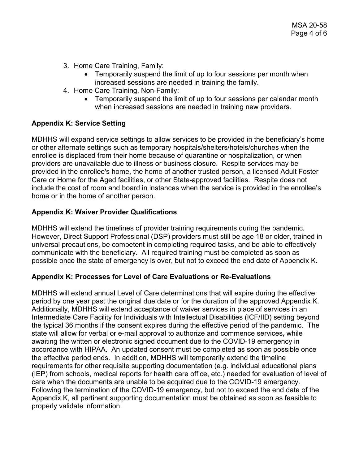- 3. Home Care Training, Family:
	- Temporarily suspend the limit of up to four sessions per month when increased sessions are needed in training the family.
- 4. Home Care Training, Non-Family:
	- Temporarily suspend the limit of up to four sessions per calendar month when increased sessions are needed in training new providers.

## **Appendix K: Service Setting**

MDHHS will expand service settings to allow services to be provided in the beneficiary's home or other alternate settings such as temporary hospitals/shelters/hotels/churches when the enrollee is displaced from their home because of quarantine or hospitalization, or when providers are unavailable due to illness or business closure. Respite services may be provided in the enrollee's home, the home of another trusted person, a licensed Adult Foster Care or Home for the Aged facilities, or other State-approved facilities. Respite does not include the cost of room and board in instances when the service is provided in the enrollee's home or in the home of another person.

## **Appendix K: Waiver Provider Qualifications**

MDHHS will extend the timelines of provider training requirements during the pandemic. However, Direct Support Professional (DSP) providers must still be age 18 or older, trained in universal precautions, be competent in completing required tasks, and be able to effectively communicate with the beneficiary. All required training must be completed as soon as possible once the state of emergency is over, but not to exceed the end date of Appendix K.

## **Appendix K: Processes for Level of Care Evaluations or Re-Evaluations**

MDHHS will extend annual Level of Care determinations that will expire during the effective period by one year past the original due date or for the duration of the approved Appendix K. Additionally, MDHHS will extend acceptance of waiver services in place of services in an Intermediate Care Facility for Individuals with Intellectual Disabilities (ICF/IID) setting beyond the typical 36 months if the consent expires during the effective period of the pandemic. The state will allow for verbal or e-mail approval to authorize and commence services, while awaiting the written or electronic signed document due to the COVID-19 emergency in accordance with HIPAA. An updated consent must be completed as soon as possible once the effective period ends. In addition, MDHHS will temporarily extend the timeline requirements for other requisite supporting documentation (e.g. individual educational plans (IEP) from schools, medical reports for health care office, etc.) needed for evaluation of level of care when the documents are unable to be acquired due to the COVID-19 emergency. Following the termination of the COVID-19 emergency, but not to exceed the end date of the Appendix K, all pertinent supporting documentation must be obtained as soon as feasible to properly validate information.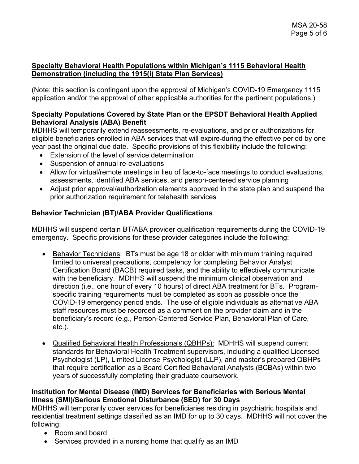## **Specialty Behavioral Health Populations within Michigan's 1115 Behavioral Health Demonstration (including the 1915(i) State Plan Services)**

(Note: this section is contingent upon the approval of Michigan's COVID-19 Emergency 1115 application and/or the approval of other applicable authorities for the pertinent populations.)

## **Specialty Populations Covered by State Plan or the EPSDT Behavioral Health Applied Behavioral Analysis (ABA) Benefit**

MDHHS will temporarily extend reassessments, re-evaluations, and prior authorizations for eligible beneficiaries enrolled in ABA services that will expire during the effective period by one year past the original due date. Specific provisions of this flexibility include the following:

- Extension of the level of service determination
- Suspension of annual re-evaluations
- Allow for virtual/remote meetings in lieu of face-to-face meetings to conduct evaluations, assessments, identified ABA services, and person-centered service planning
- Adjust prior approval/authorization elements approved in the state plan and suspend the prior authorization requirement for telehealth services

# **Behavior Technician (BT)/ABA Provider Qualifications**

MDHHS will suspend certain BT/ABA provider qualification requirements during the COVID-19 emergency. Specific provisions for these provider categories include the following:

- Behavior Technicians: BTs must be age 18 or older with minimum training required limited to universal precautions, competency for completing Behavior Analyst Certification Board (BACB) required tasks, and the ability to effectively communicate with the beneficiary. MDHHS will suspend the minimum clinical observation and direction (i.e., one hour of every 10 hours) of direct ABA treatment for BTs. Programspecific training requirements must be completed as soon as possible once the COVID-19 emergency period ends. The use of eligible individuals as alternative ABA staff resources must be recorded as a comment on the provider claim and in the beneficiary's record (e.g., Person-Centered Service Plan, Behavioral Plan of Care, etc.).
- Qualified Behavioral Health Professionals (QBHPs): MDHHS will suspend current standards for Behavioral Health Treatment supervisors, including a qualified Licensed Psychologist (LP), Limited License Psychologist (LLP), and master's prepared QBHPs that require certification as a Board Certified Behavioral Analysts (BCBAs) within two years of successfully completing their graduate coursework.

## **Institution for Mental Disease (IMD) Services for Beneficiaries with Serious Mental Illness (SMI)/Serious Emotional Disturbance (SED) for 30 Days**

MDHHS will temporarily cover services for beneficiaries residing in psychiatric hospitals and residential treatment settings classified as an IMD for up to 30 days. MDHHS will not cover the following:

- Room and board
- Services provided in a nursing home that qualify as an IMD